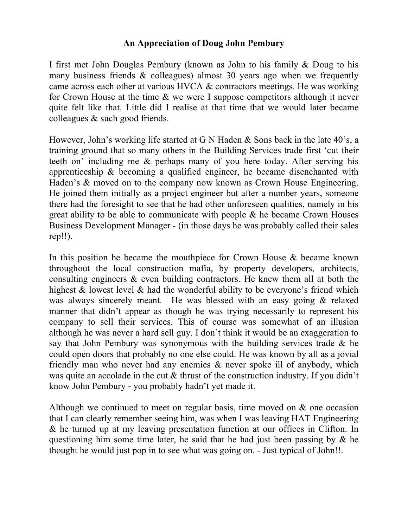## **An Appreciation of Doug John Pembury**

I first met John Douglas Pembury (known as John to his family & Doug to his many business friends  $\&$  colleagues) almost 30 years ago when we frequently came across each other at various HVCA & contractors meetings. He was working for Crown House at the time & we were I suppose competitors although it never quite felt like that. Little did I realise at that time that we would later became colleagues & such good friends.

However, John's working life started at G N Haden & Sons back in the late 40's, a training ground that so many others in the Building Services trade first 'cut their teeth on' including me & perhaps many of you here today. After serving his apprenticeship & becoming a qualified engineer, he became disenchanted with Haden's & moved on to the company now known as Crown House Engineering. He joined them initially as a project engineer but after a number years, someone there had the foresight to see that he had other unforeseen qualities, namely in his great ability to be able to communicate with people & he became Crown Houses Business Development Manager - (in those days he was probably called their sales rep!!).

In this position he became the mouthpiece for Crown House  $\&$  became known throughout the local construction mafia, by property developers, architects, consulting engineers & even building contractors. He knew them all at both the highest & lowest level & had the wonderful ability to be everyone's friend which was always sincerely meant. He was blessed with an easy going & relaxed manner that didn't appear as though he was trying necessarily to represent his company to sell their services. This of course was somewhat of an illusion although he was never a hard sell guy. I don't think it would be an exaggeration to say that John Pembury was synonymous with the building services trade & he could open doors that probably no one else could. He was known by all as a jovial friendly man who never had any enemies & never spoke ill of anybody, which was quite an accolade in the cut & thrust of the construction industry. If you didn't know John Pembury - you probably hadn't yet made it.

Although we continued to meet on regular basis, time moved on  $\&$  one occasion that I can clearly remember seeing him, was when I was leaving HAT Engineering & he turned up at my leaving presentation function at our offices in Clifton. In questioning him some time later, he said that he had just been passing by  $\&$  he thought he would just pop in to see what was going on. - Just typical of John!!.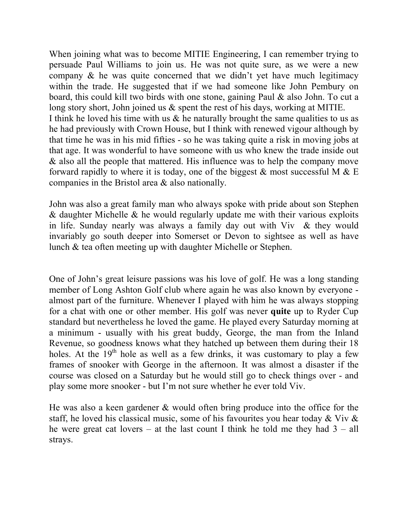When joining what was to become MITIE Engineering, I can remember trying to persuade Paul Williams to join us. He was not quite sure, as we were a new company & he was quite concerned that we didn't yet have much legitimacy within the trade. He suggested that if we had someone like John Pembury on board, this could kill two birds with one stone, gaining Paul & also John. To cut a long story short, John joined us & spent the rest of his days, working at MITIE. I think he loved his time with us  $\&$  he naturally brought the same qualities to us as he had previously with Crown House, but I think with renewed vigour although by that time he was in his mid fifties - so he was taking quite a risk in moving jobs at that age. It was wonderful to have someone with us who knew the trade inside out & also all the people that mattered. His influence was to help the company move forward rapidly to where it is today, one of the biggest  $\&$  most successful M  $\&$  E companies in the Bristol area & also nationally.

John was also a great family man who always spoke with pride about son Stephen & daughter Michelle & he would regularly update me with their various exploits in life. Sunday nearly was always a family day out with Viv  $\&$  they would invariably go south deeper into Somerset or Devon to sightsee as well as have lunch & tea often meeting up with daughter Michelle or Stephen.

One of John's great leisure passions was his love of golf. He was a long standing member of Long Ashton Golf club where again he was also known by everyone almost part of the furniture. Whenever I played with him he was always stopping for a chat with one or other member. His golf was never **quite** up to Ryder Cup standard but nevertheless he loved the game. He played every Saturday morning at a minimum - usually with his great buddy, George, the man from the Inland Revenue, so goodness knows what they hatched up between them during their 18 holes. At the  $19<sup>th</sup>$  hole as well as a few drinks, it was customary to play a few frames of snooker with George in the afternoon. It was almost a disaster if the course was closed on a Saturday but he would still go to check things over - and play some more snooker - but I'm not sure whether he ever told Viv.

He was also a keen gardener & would often bring produce into the office for the staff, he loved his classical music, some of his favourites you hear today & Viv & he were great cat lovers – at the last count I think he told me they had 3 – all strays.